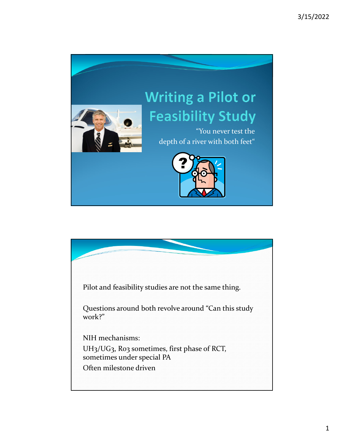

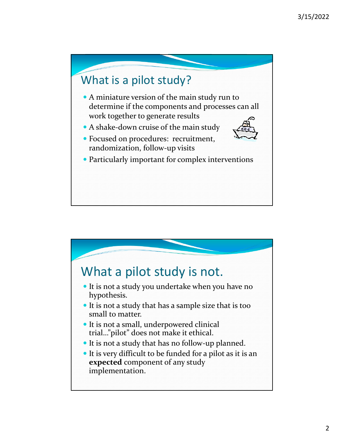

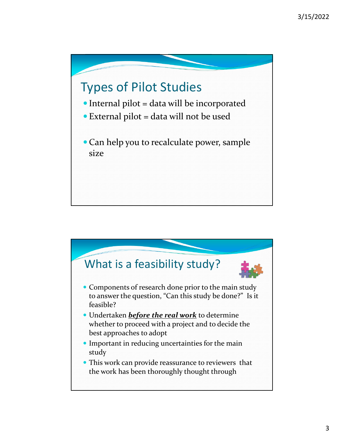## Types of Pilot Studies

- Internal pilot = data will be incorporated
- $\bullet$  External pilot = data will not be used
- Can help you to recalculate power, sample size

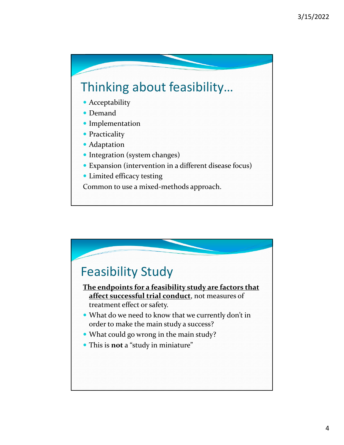## Thinking about feasibility…

- Acceptability
- Demand
- Implementation
- Practicality
- Adaptation
- Integration (system changes)
- Expansion (intervention in a different disease focus)
- Limited efficacy testing
- Common to use a mixed‐methods approach.

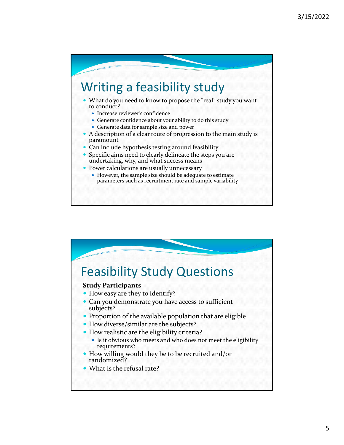## Writing a feasibility study

- What do you need to know to propose the "real" study you want to conduct?
	- Increase reviewer's confidence
	- Generate confidence about your ability to do this study
	- Generate data for sample size and power
- A description of a clear route of progression to the main study is paramount
- Can include hypothesis testing around feasibility
- Specific aims need to clearly delineate the steps you are undertaking, why, and what success means
- Power calculations are usually unnecessary
	- However, the sample size should be adequate to estimate parameters such as recruitment rate and sample variability

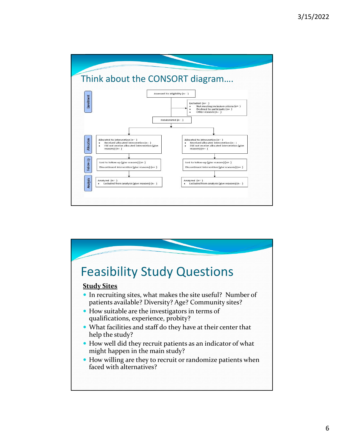

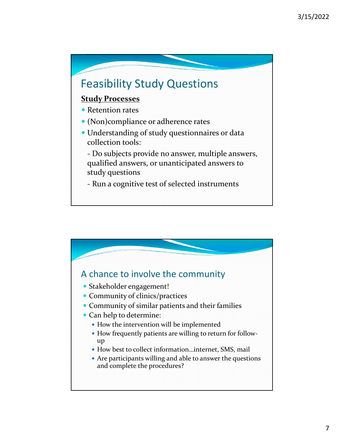# Feasibility Study Questions

#### **Study Processes**

- Retention rates
- (Non)compliance or adherence rates
- Understanding of study questionnaires or data collection tools:

‐ Do subjects provide no answer, multiple answers, qualified answers, or unanticipated answers to study questions

‐ Run a cognitive test of selected instruments

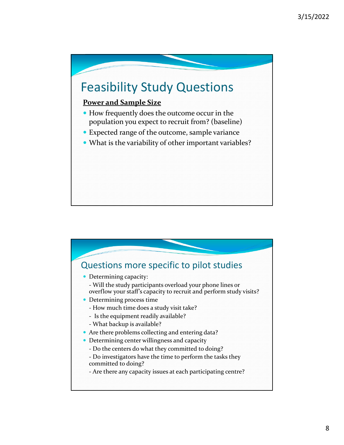## Feasibility Study Questions

### **Power and Sample Size**

- How frequently does the outcome occur in the population you expect to recruit from? (baseline)
- Expected range of the outcome, sample variance
- What is the variability of other important variables?

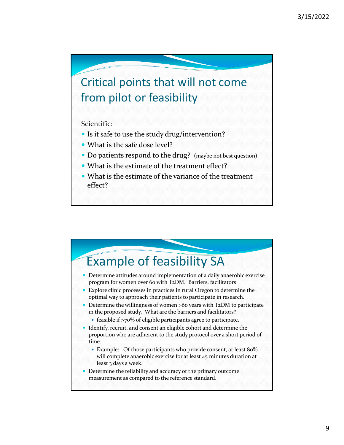### Critical points that will not come from pilot or feasibility

Scientific:

- Is it safe to use the study drug/intervention?
- What is the safe dose level?
- Do patients respond to the drug? (maybe not best question)
- What is the estimate of the treatment effect?
- What is the estimate of the variance of the treatment effect?